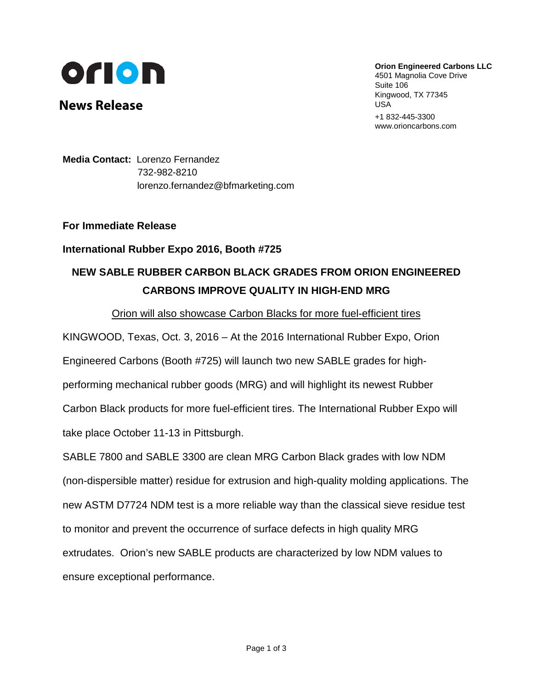

**News Release**

**Orion Engineered Carbons LLC**

4501 Magnolia Cove Drive Suite 106 Kingwood, TX 77345 USA +1 832-445-3300 www.orioncarbons.com

**Media Contact:** Lorenzo Fernandez 732-982-8210 [lorenzo.fernandez@bfmarketing.com](mailto:lorenzo.fernandez@briechle-fernandez.com)

### **For Immediate Release**

# **International Rubber Expo 2016, Booth #725**

# **NEW SABLE RUBBER CARBON BLACK GRADES FROM ORION ENGINEERED CARBONS IMPROVE QUALITY IN HIGH-END MRG**

#### Orion will also showcase Carbon Blacks for more fuel-efficient tires

KINGWOOD, Texas, Oct. 3, 2016 – At the 2016 International Rubber Expo, Orion Engineered Carbons (Booth #725) will launch two new SABLE grades for highperforming mechanical rubber goods (MRG) and will highlight its newest Rubber Carbon Black products for more fuel-efficient tires. The International Rubber Expo will take place October 11-13 in Pittsburgh.

SABLE 7800 and SABLE 3300 are clean MRG Carbon Black grades with low NDM (non-dispersible matter) residue for extrusion and high-quality molding applications. The new ASTM D7724 NDM test is a more reliable way than the classical sieve residue test to monitor and prevent the occurrence of surface defects in high quality MRG extrudates. Orion's new SABLE products are characterized by low NDM values to ensure exceptional performance.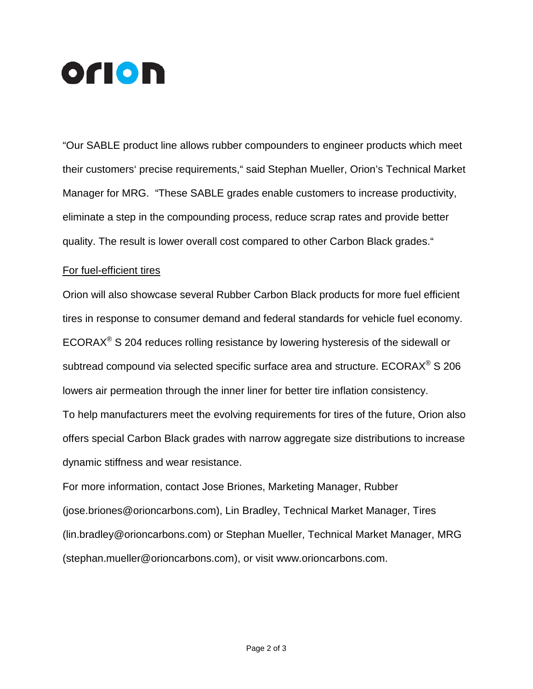

"Our SABLE product line allows rubber compounders to engineer products which meet their customers' precise requirements," said Stephan Mueller, Orion's Technical Market Manager for MRG. "These SABLE grades enable customers to increase productivity, eliminate a step in the compounding process, reduce scrap rates and provide better quality. The result is lower overall cost compared to other Carbon Black grades."

#### For fuel-efficient tires

Orion will also showcase several Rubber Carbon Black products for more fuel efficient tires in response to consumer demand and federal standards for vehicle fuel economy. ECORAX® S 204 reduces rolling resistance by lowering hysteresis of the sidewall or subtread compound via selected specific surface area and structure. ECORAX<sup>®</sup> S 206 lowers air permeation through the inner liner for better tire inflation consistency. To help manufacturers meet the evolving requirements for tires of the future, Orion also offers special Carbon Black grades with narrow aggregate size distributions to increase dynamic stiffness and wear resistance.

For more information, contact Jose Briones, Marketing Manager, Rubber [\(jose.briones@orioncarbons.com\)](mailto:jose.briones@orioncarbons.com), Lin Bradley, Technical Market Manager, Tires [\(lin.bradley@orioncarbons.com\)](mailto:lin.bradley@orioncarbons.com) or Stephan Mueller, Technical Market Manager, MRG [\(stephan.mueller@orioncarbons.com\)](mailto:stephan.mueller@orioncarbons.com), or visit [www.orioncarbons.com.](http://www.orioncarbons.com/)